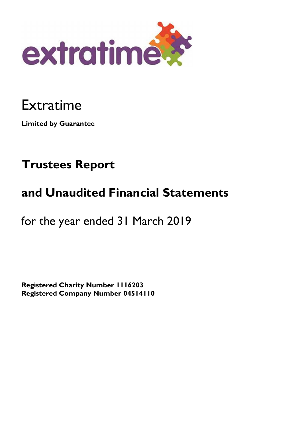

# Extratime

**Limited by Guarantee** 

# **Trustees Report**

# **and Unaudited Financial Statements**

for the year ended 31 March 2019

**Registered Charity Number 1116203 Registered Company Number 04514110**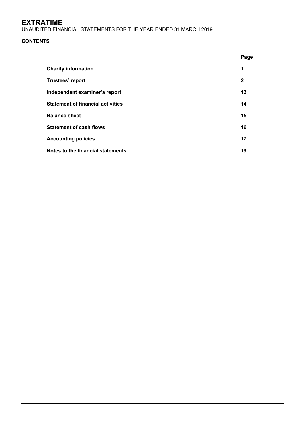UNAUDITED FINANCIAL STATEMENTS FOR THE YEAR ENDED 31 MARCH 2019

# **CONTENTS**

|                                          | Page         |
|------------------------------------------|--------------|
| <b>Charity information</b>               | 1            |
| Trustees' report                         | $\mathbf{2}$ |
| Independent examiner's report            | 13           |
| <b>Statement of financial activities</b> | 14           |
| <b>Balance sheet</b>                     | 15           |
| <b>Statement of cash flows</b>           | 16           |
| <b>Accounting policies</b>               | 17           |
| Notes to the financial statements        | 19           |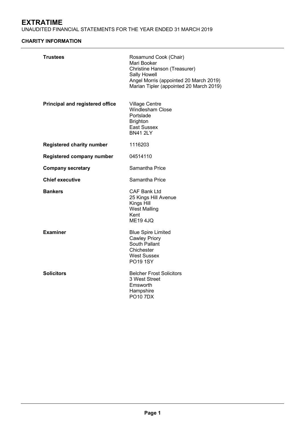UNAUDITED FINANCIAL STATEMENTS FOR THE YEAR ENDED 31 MARCH 2019

# **CHARITY INFORMATION**

| <b>Trustees</b>                  | Rosamund Cook (Chair)<br>Mari Booker<br>Christine Hanson (Treasurer)<br>Sally Howell<br>Angel Morris (appointed 20 March 2019)<br>Marian Tipler (appointed 20 March 2019) |
|----------------------------------|---------------------------------------------------------------------------------------------------------------------------------------------------------------------------|
| Principal and registered office  | <b>Village Centre</b><br><b>Windlesham Close</b><br>Portslade<br><b>Brighton</b><br><b>East Sussex</b><br><b>BN41 2LY</b>                                                 |
| <b>Registered charity number</b> | 1116203                                                                                                                                                                   |
| Registered company number        | 04514110                                                                                                                                                                  |
| <b>Company secretary</b>         | Samantha Price                                                                                                                                                            |
| <b>Chief executive</b>           | Samantha Price                                                                                                                                                            |
| <b>Bankers</b>                   | <b>CAF Bank Ltd</b><br>25 Kings Hill Avenue<br>Kings Hill<br><b>West Malling</b><br>Kent<br><b>ME194JQ</b>                                                                |
| <b>Examiner</b>                  | <b>Blue Spire Limited</b><br><b>Cawley Priory</b><br>South Pallant<br>Chichester<br><b>West Sussex</b><br><b>PO19 1SY</b>                                                 |
| <b>Solicitors</b>                | <b>Belcher Frost Solicitors</b><br>3 West Street<br>Emsworth<br>Hampshire<br><b>PO10 7DX</b>                                                                              |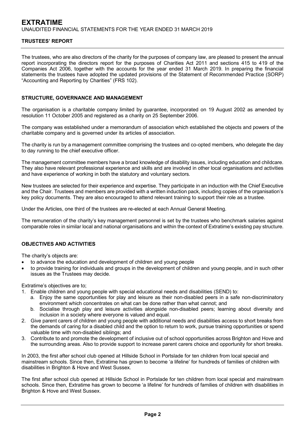The trustees, who are also directors of the charity for the purposes of company law, are pleased to present the annual report incorporating the directors report for the purposes of Charities Act 2011 and sections 415 to 419 of the Companies Act 2006, together with the accounts for the year ended 31 March 2019. In preparing the financial statements the trustees have adopted the updated provisions of the Statement of Recommended Practice (SORP) "Accounting and Reporting by Charities" (FRS 102).

# **STRUCTURE, GOVERNANCE AND MANAGEMENT**

The organisation is a charitable company limited by guarantee, incorporated on 19 August 2002 as amended by resolution 11 October 2005 and registered as a charity on 25 September 2006.

The company was established under a memorandum of association which established the objects and powers of the charitable company and is governed under its articles of association.

The charity is run by a management committee comprising the trustees and co-opted members, who delegate the day to day running to the chief executive officer.

The management committee members have a broad knowledge of disability issues, including education and childcare. They also have relevant professional experience and skills and are involved in other local organisations and activities and have experience of working in both the statutory and voluntary sectors.

New trustees are selected for their experience and expertise. They participate in an induction with the Chief Executive and the Chair. Trustees and members are provided with a written induction pack, including copies of the organisation's key policy documents. They are also encouraged to attend relevant training to support their role as a trustee.

Under the Articles, one third of the trustees are re-elected at each Annual General Meeting.

The remuneration of the charity's key management personnel is set by the trustees who benchmark salaries against comparable roles in similar local and national organisations and within the context of Extratime's existing pay structure.

# **OBJECTIVES AND ACTIVITIES**

The charity's objects are:

- to advance the education and development of children and young people
- to provide training for individuals and groups in the development of children and young people, and in such other issues as the Trustees may decide.

Extratime's objectives are to;

- 1. Enable children and young people with special educational needs and disabilities (SEND) to:
	- a. Enjoy the same opportunities for play and leisure as their non-disabled peers in a safe non-discriminatory environment which concentrates on what can be done rather than what cannot; and
	- b. Socialise through play and leisure activities alongside non-disabled peers; learning about diversity and inclusion in a society where everyone is valued and equal.
- 2. Give parent carers of children and young people with additional needs and disabilities access to short breaks from the demands of caring for a disabled child and the option to return to work, pursue training opportunities or spend valuable time with non-disabled siblings; and
- 3. Contribute to and promote the development of inclusive out of school opportunities across Brighton and Hove and the surrounding areas. Also to provide support to increase parent carers choice and opportunity for short breaks.

In 2003, the first after school club opened at Hillside School in Portslade for ten children from local special and mainstream schools. Since then, Extratime has grown to become 'a lifeline' for hundreds of families of children with disabilities in Brighton & Hove and West Sussex.

The first after school club opened at Hillside School in Portslade for ten children from local special and mainstream schools. Since then, Extratime has grown to become 'a lifeline' for hundreds of families of children with disabilities in Brighton & Hove and West Sussex.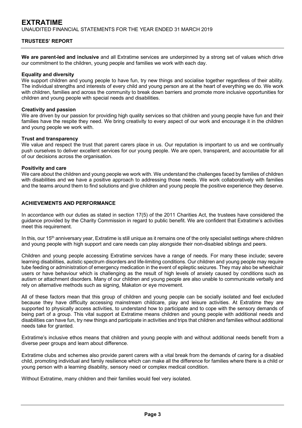**We are parent-led and inclusive** and all Extratime services are underpinned by a strong set of values which drive our commitment to the children, young people and families we work with each day.

# **Equality and diversity**

We support children and young people to have fun, try new things and socialise together regardless of their ability. The individual strengths and interests of every child and young person are at the heart of everything we do. We work with children, families and across the community to break down barriers and promote more inclusive opportunities for children and young people with special needs and disabilities.

# **Creativity and passion**

We are driven by our passion for providing high quality services so that children and young people have fun and their families have the respite they need. We bring creativity to every aspect of our work and encourage it in the children and young people we work with.

# **Trust and transparency**

We value and respect the trust that parent carers place in us. Our reputation is important to us and we continually push ourselves to deliver excellent services for our young people. We are open, transparent, and accountable for all of our decisions across the organisation.

# **Positivity and care**

We care about the children and young people we work with. We understand the challenges faced by families of children with disabilities and we have a positive approach to addressing those needs. We work collaboratively with families and the teams around them to find solutions and give children and young people the positive experience they deserve.

# **ACHIEVEMENTS AND PERFORMANCE**

In accordance with our duties as stated in section 17(5) of the 2011 Charities Act, the trustees have considered the guidance provided by the Charity Commission in regard to public benefit. We are confident that Extratime's activities meet this requirement.

In this, our 15<sup>th</sup> anniversary year, Extratime is still unique as it remains one of the only specialist settings where children and young people with high support and care needs can play alongside their non-disabled siblings and peers.

Children and young people accessing Extratime services have a range of needs. For many these include; severe learning disabilities, autistic spectrum disorders and life-limiting conditions. Our children and young people may require tube feeding or administration of emergency medication in the event of epileptic seizures. They may also be wheelchair users or have behaviour which is challenging as the result of high levels of anxiety caused by conditions such as autism or attachment disorders. Many of our children and young people are also unable to communicate verbally and rely on alternative methods such as signing, Makaton or eye movement.

All of these factors mean that this group of children and young people can be socially isolated and feel excluded because they have difficulty accessing mainstream childcare, play and leisure activities. At Extratime they are supported to physically access activities, to understand how to participate and to cope with the sensory demands of being part of a group. This vital support at Extratime means children and young people with additional needs and disabilities can have fun, try new things and participate in activities and trips that children and families without additional needs take for granted.

Extratime's inclusive ethos means that children and young people with and without additional needs benefit from a diverse peer groups and learn about difference.

Extratime clubs and schemes also provide parent carers with a vital break from the demands of caring for a disabled child, promoting individual and family resilience which can make all the difference for families where there is a child or young person with a learning disability, sensory need or complex medical condition.

Without Extratime, many children and their families would feel very isolated.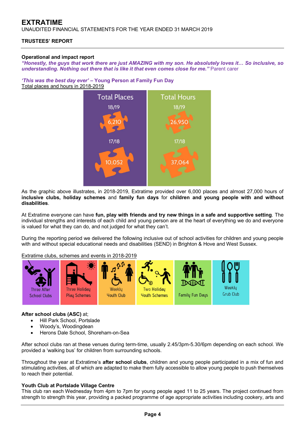UNAUDITED FINANCIAL STATEMENTS FOR THE YEAR ENDED 31 MARCH 2019

# **TRUSTEES' REPORT**

# **Operational and impact report**

*"Honestly, the guys that work there are just AMAZING with my son. He absolutely loves it… So inclusive, so*  **understanding. Nothing out there that is like it that even comes close for me."** Parent carer

*'This was the best day ever'* **– Young Person at Family Fun Day**  Total places and hours in 2018-2019



As the graphic above illustrates, in 2018-2019, Extratime provided over 6,000 places and almost 27,000 hours of **inclusive clubs, holiday schemes** and **family fun days** for **children and young people with and without disabilities**.

At Extratime everyone can have **fun, play with friends and try new things in a safe and supportive setting**. The individual strengths and interests of each child and young person are at the heart of everything we do and everyone is valued for what they can do, and not judged for what they can't.

During the reporting period we delivered the following inclusive out of school activities for children and young people with and without special educational needs and disabilities (SEND) in Brighton & Hove and West Sussex.

Extratime clubs, schemes and events in 2018-2019



# **After school clubs (ASC)** at;

- Hill Park School, Portslade
- Woody's, Woodingdean
- Herons Dale School, Shoreham-on-Sea

After school clubs ran at these venues during term-time, usually 2.45/3pm-5.30/6pm depending on each school. We provided a 'walking bus' for children from surrounding schools.

Throughout the year at Extratime's **after school clubs**, children and young people participated in a mix of fun and stimulating activities, all of which are adapted to make them fully accessible to allow young people to push themselves to reach their potential.

# **Youth Club at Portslade Village Centre**

This club ran each Wednesday from 4pm to 7pm for young people aged 11 to 25 years. The project continued from strength to strength this year, providing a packed programme of age appropriate activities including cookery, arts and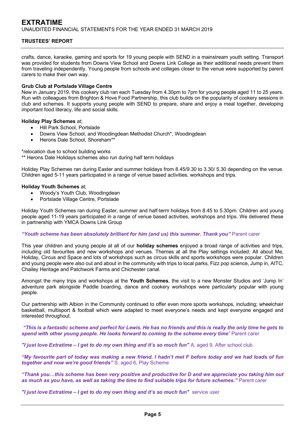crafts, dance, karaoke, gaming and sports for 19 young people with SEND in a mainstream youth setting. Transport was provided for students from Downs View School and Downs Link College as their additional needs prevent them from traveling independently. Young people from schools and colleges closer to the venue were supported by parent carers to make their own way.

# **Grub Club at Portslade Village Centre**

New in January 2019, this cookery club ran each Tuesday from 4.30pm to 7pm for young people aged 11 to 25 years. Run with colleagues from Brighton & Hove Food Partnership, this club builds on the popularity of cookery sessions in club and schemes. It supports young people with SEND to prepare, share and enjoy a meal together, developing important food literacy, life and social skills.

# **Holiday Play Schemes** at;

- Hill Park School, Portslade
- Downs View School, and Woodingdean Methodist Church\*, Woodingdean
- Herons Dale School, Shoreham\*\*

\*relocation due to school building works

\*\* Herons Dale Holidays schemes also run during half term holidays

Holiday Play Schemes ran during Easter and summer holidays from 8.45/9.30 to 3.30/ 5.30 depending on the venue. Children aged 5-11 years participated in a range of venue based activities, workshops and trips.

# **Holiday Youth Schemes** at;

- Woody's Youth Club, Woodingdean
- Portslade Village Centre, Portslade

Holiday Youth Schemes ran during Easter, summer and half-term holidays from 8.45 to 5.30pm. Children and young people aged 11-19 years participated in a range of venue based activities, workshops and trips. We delivered these in partnership with YMCA Downs Link Group

# *"Youth scheme has been absolutely brilliant for him (and us) this summer. Thank you"* Parent carer

This year children and young people at all of our **holiday schemes** enjoyed a broad range of activities and trips, including old favourites and new workshops and venues. Themes at all the Play settings included; All about Me, Holiday, Circus and Space and lots of workshops such as circus skills and sports workshops were popular. Children and young people were also out and about in the community with trips to local parks, Fizz pop science, Jump in, AITC, Chailey Heritage and Patchwork Farms and Chichester canal.

Amongst the many trips and workshops at the **Youth Schemes**, the visit to a new Monster Studios and 'Jump In' adventure park alongside Paddle boarding, dance and cookery workshops were particularly popular with young people.

Our partnership with Albion in the Community continued to offer even more sports workshops, including; wheelchair basketball, multisport & football which were adapted to meet everyone's needs and kept everyone engaged and interested throughout.

 *"This is a fantastic scheme and perfect for Lewis. He has no friends and this is really the only time he gets to*  **spend with other young people. He looks forward to coming to the scheme every time<sup>"</sup> Parent carer** 

*"I just love Extratime – I get to do my own thing and it's so much fun"* A, aged 9, After school club

*"My favourite part of today was making a new friend. I hadn't met F before today and we had loads of fun together and now we're good friends"* S, aged 6, Play Scheme

*"Thank you…this scheme has been very positive and productive for D and we appreciate you taking him out*  as much as you have, as well as taking the time to find suitable trips for future schemes." Parent carer

"I just love Extratime - I get to do my own thing and it's so much fun" service user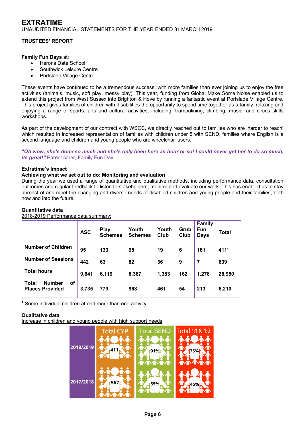# **TRUSTEES' REPORT**

# **Family Fun Days** at;

- Herons Date School
- Southwick Leisure Centre
- Portslade Village Centre

These events have continued to be a tremendous success, with more families than ever joining us to enjoy the free activities (animals, music, soft play, messy play). This year, funding from Global Make Some Noise enabled us to extend this project from West Sussex into Brighton & Hove by running a fantastic event at Portslade Village Centre. This project gives families of children with disabilities the opportunity to spend time together as a family, relaxing and enjoying a range of sports, arts and cultural activities, including; trampolining, climbing, music, and circus skills workshops.

As part of the development of our contract with WSCC, we directly reached out to families who are 'harder to reach' which resulted in increased representation of families with children under 5 with SEND, families where English is a second language and children and young people who are wheelchair users.

# *"Oh wow, she's done so much and she's only been here an hour or so! I could never get her to do so much, its great!"* Parent carer, Family Fun Day

# **Extratime's Impact**

# **Achieving what we set out to do: Monitoring and evaluation**

During the year we used a range of quantitative and qualitative methods, including performance data, consultation outcomes and regular feedback to listen to stakeholders, monitor and evaluate our work. This has enabled us to stay abreast of and meet the changing and diverse needs of disabled children and young people and their families, both now and into the future.

# **Quantitative data**

| 2018-2019 Performance data summary: |  |
|-------------------------------------|--|
|                                     |  |

|                                                               | <b>ASC</b> | Play<br><b>Schemes</b> | Youth<br><b>Schemes</b> | Youth<br>Club | Grub<br>Club | <b>Family</b><br><b>Fun</b><br><b>Days</b> | <b>Total</b>     |
|---------------------------------------------------------------|------------|------------------------|-------------------------|---------------|--------------|--------------------------------------------|------------------|
| <b>Number of Children</b>                                     | 95         | 133                    | 95                      | 19            | 6            | 161                                        | 411 <sup>1</sup> |
| <b>Number of Sessions</b>                                     | 442        | 63                     | 82                      | 36            | 9            | 7                                          | 639              |
| <b>Total hours</b>                                            | 9,641      | 6,119                  | 8,367                   | 1,383         | 162          | 1,278                                      | 26,950           |
| of<br><b>Total</b><br><b>Number</b><br><b>Places Provided</b> | 3,735      | 779                    | 968                     | 461           | 54           | 213                                        | 6,210            |

**1** Some individual children attend more than one activity

# **Qualitative data**

Increase in children and young people with high support needs

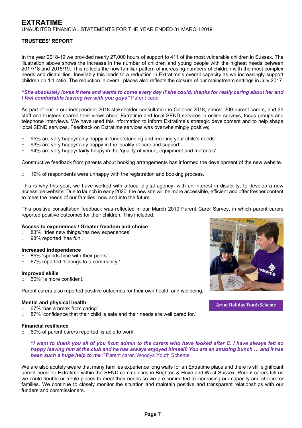In the year 2018-19 we provided nearly 27,000 hours of support to 411 of the most vulnerable children in Sussex. The illustration above shows the increase in the number of children and young people with the highest needs between 2017/18 and 2018/19. This reflects the now familiar pattern of increasing numbers of children with the most complex needs and disabilities. Inevitably this leads to a reduction in Extratime's overall capacity as we increasingly support children on 1:1 ratio. The reduction in overall places also reflects the closure of our mainstream settings in July 2017.

*"She absolutely loves it here and wants to come every day if she could, thanks for really caring about her and I feel comfortable leaving her with you guys"* Parent carer

As part of our in our independent 2018 stakeholder consultation in October 2018, almost 200 parent carers, and 35 staff and trustees shared their views about Extratime and local SEND services in online surveys, focus groups and telephone interviews. We have used this information to inform Extratime's strategic development and to help shape local SEND services. Feedback on Extratime services was overwhelmingly positive;

- o 95% are very happy/fairly happy in 'understanding and meeting your child's needs'.
- o 93% are very happy/fairly happy in the 'quality of care and support'.
- $\circ$  94% are very happy/ fairly happy in the 'quality of venue, equipment and materials'.

Constructive feedback from parents about booking arrangements has informed the development of the new website.

o 19% of respondents were unhappy with the registration and booking process.

This is why this year, we have worked with a local digital agency, with an interest in disability, to develop a new accessible website. Due to launch in early 2020, the new site will be more accessible, efficient and offer fresher content to meet the needs of our families, now and into the future.

This positive consultation feedback was reflected in our March 2019 Parent Carer Survey, in which parent carers reported positive outcomes for their children. This included;

## **Access to experiences / Greater freedom and choice**

- o 83% 'tries new things/has new experiences'
- o 98% reported 'has fun'.

## **Increased independence**

- o 85% 'spends time with their peers'
- o 67% reported 'belongs to a community '.

# **Improved skills**

o 60% 'is more confident.'

Parent carers also reported positive outcomes for their own health and wellbeing;

## **Mental and physical health**

- o 67% 'has a break from caring'
- $\circ$  87% 'confidence that their child is safe and their needs are well cared for.'

# **Financial resilience**

o 60% of parent carers reported 'is able to work'.

*"I want to thank you all of you from admin to the carers who have looked after C. I have always felt so happy leaving him at the club and he has always enjoyed himself. You are an amazing bunch … and it has been such a huge help to me."* Parent carer, Woodys Youth Scheme

We are also acutely aware that many families experience long waits for an Extratime place and there is still significant unmet need for Extratime within the SEND communities in Brighton & Hove and West Sussex. Parent carers tell us we could double or treble places to meet their needs so we are committed to increasing our capacity and choice for families. We continue to closely monitor the situation and maintain positive and transparent relationships with our funders and commissioners.



**Art at Holiday Youth Scheme**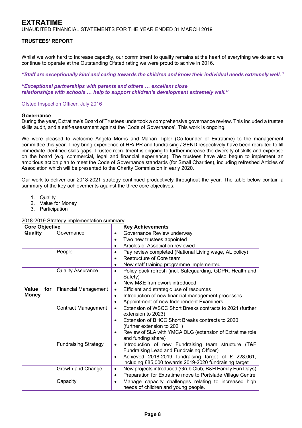# **TRUSTEES' REPORT**

Whilst we work hard to increase capacity, our commitment to quality remains at the heart of everything we do and we continue to operate at the Outstanding Ofsted rating we were proud to achive in 2016.

*"Staff are exceptionally kind and caring towards the children and know their individual needs extremely well."* 

*"Exceptional partnerships with parents and others … excellent close relationships with schools … help to support children's development extremely well."* 

# Ofsted Inspection Officer, July 2016

## **Governance**

During the year, Extratime's Board of Trustees undertook a comprehensive governance review. This included a trustee skills audit, and a self-assessment against the 'Code of Governance'. This work is ongoing.

We were pleased to welcome Angela Morris and Marian Tipler (Co-founder of Extratime) to the management committee this year. They bring experience of HR/ PR and fundraising / SEND respectively have been recruited to fill immediate identified skills gaps. Trustee recruitment is ongoing to further increase the diversity of skills and expertise on the board (e.g. commercial, legal and financial experience). The trustees have also begun to implement an ambitious action plan to meet the Code of Governance standards (for Small Charities), including refreshed Articles of Association which will be presented to the Charity Commission in early 2020.

Our work to deliver our 2018-2021 strategy continued productively throughout the year. The table below contain a summary of the key achievements against the three core objectives.

- 1. Quality
- 2. Value for Money
- 3. Participation

| <b>Core Objective</b> |                             | <b>Key Achievements</b>                                                                                            |  |  |  |  |
|-----------------------|-----------------------------|--------------------------------------------------------------------------------------------------------------------|--|--|--|--|
| Quality               | Governance                  | Governance Review underway<br>$\bullet$                                                                            |  |  |  |  |
|                       |                             | Two new trustees appointed<br>$\bullet$                                                                            |  |  |  |  |
|                       |                             | Articles of Association reviewed<br>$\bullet$                                                                      |  |  |  |  |
|                       | People                      | Pay review completed (National Living wage, AL policy)<br>$\bullet$                                                |  |  |  |  |
|                       |                             | Restructure of Core team<br>$\bullet$                                                                              |  |  |  |  |
|                       |                             | New staff training programme implemented<br>٠                                                                      |  |  |  |  |
|                       | <b>Quality Assurance</b>    | Policy pack refresh (incl. Safeguarding, GDPR, Health and<br>$\bullet$<br>Safety)                                  |  |  |  |  |
|                       |                             | New M&E framework introduced<br>$\bullet$                                                                          |  |  |  |  |
| Value<br>for          | <b>Financial Management</b> | Efficient and strategic use of resources<br>$\bullet$                                                              |  |  |  |  |
| <b>Money</b>          |                             | Introduction of new financial management processes<br>$\bullet$                                                    |  |  |  |  |
|                       |                             | Appointment of new Independent Examiners<br>$\bullet$                                                              |  |  |  |  |
|                       | <b>Contract Management</b>  | Extension of WSCC Short Breaks contracts to 2021 (further<br>$\bullet$<br>extension to 2023)                       |  |  |  |  |
|                       |                             | Extension of BHCC Short Breaks contracts to 2020<br>$\bullet$<br>(further extension to 2021)                       |  |  |  |  |
|                       |                             | Review of SLA with YMCA DLG (extension of Extratime role<br>$\bullet$<br>and funding share)                        |  |  |  |  |
|                       | <b>Fundraising Strategy</b> | Introduction of new Fundraising team structure (T&F<br>$\bullet$<br>Fundraising Lead and Fundraising Officer)      |  |  |  |  |
|                       |                             | Achieved 2018-2019 fundraising target of £ 228,061,<br>٠<br>including £85,000 towards 2019-2020 fundraising target |  |  |  |  |
|                       | Growth and Change           | New projects introduced (Grub Club, B&H Family Fun Days)<br>$\bullet$                                              |  |  |  |  |
|                       |                             | Preparation for Extratime move to Portslade Village Centre<br>٠                                                    |  |  |  |  |
|                       | Capacity                    | Manage capacity challenges relating to increased high<br>$\bullet$<br>needs of children and young people.          |  |  |  |  |

## 2018-2019 Strategy implementation summary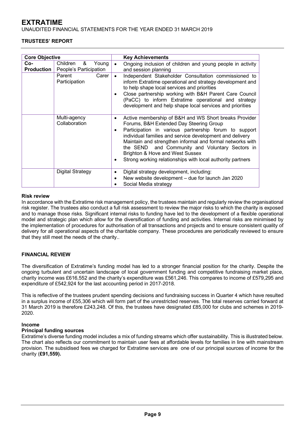UNAUDITED FINANCIAL STATEMENTS FOR THE YEAR ENDED 31 MARCH 2019

# **TRUSTEES' REPORT**

| <b>Core Objective</b>    |                                                  |                             | <b>Key Achievements</b>                                                                                                                                                                                                                                                                                                                                                                                                                |
|--------------------------|--------------------------------------------------|-----------------------------|----------------------------------------------------------------------------------------------------------------------------------------------------------------------------------------------------------------------------------------------------------------------------------------------------------------------------------------------------------------------------------------------------------------------------------------|
| Co-<br><b>Production</b> | Children<br>&<br>Young<br>People's Participation | $\bullet$                   | Ongoing inclusion of children and young people in activity<br>and session planning                                                                                                                                                                                                                                                                                                                                                     |
|                          | Parent<br>Carer<br>Participation                 | $\bullet$<br>$\bullet$      | Independent Stakeholder Consultation commissioned to<br>inform Extratime operational and strategy development and<br>to help shape local services and priorities<br>Close partnership working with B&H Parent Care Council<br>(PaCC) to inform Extratime operational and strategy<br>development and help shape local services and priorities                                                                                          |
|                          | Multi-agency<br>Collaboration                    | $\bullet$<br>$\bullet$<br>٠ | Active membership of B&H and WS Short breaks Provider<br>Forums, B&H Extended Day Steering Group<br>Participation in various partnership forum to support<br>individual families and service development and delivery<br>Maintain and strengthen informal and formal networks with<br>the SEND and Community and Voluntary Sectors in<br>Brighton & Hove and West Sussex<br>Strong working relationships with local authority partners |
|                          | Digital Strategy                                 | ٠<br>$\bullet$              | Digital strategy development, including:<br>New website development - due for launch Jan 2020<br>Social Media strategy                                                                                                                                                                                                                                                                                                                 |

# **Risk review**

In accordance with the Extratime risk management policy, the trustees maintain and regularly review the organisational risk register. The trustees also conduct a full risk assessment to review the major risks to which the charity is exposed and to manage those risks. Significant internal risks to funding have led to the development of a flexible operational model and strategic plan which allow for the diversification of funding and activities. Internal risks are minimised by the implementation of procedures for authorisation of all transactions and projects and to ensure consistent quality of delivery for all operational aspects of the charitable company. These procedures are periodically reviewed to ensure that they still meet the needs of the charity..

# **FINANCIAL REVIEW**

The diversification of Extratime's funding model has led to a stronger financial position for the charity. Despite the ongoing turbulent and uncertain landscape of local government funding and competitive fundraising market place, charity income was £616,552 and the charity's expenditure was £561,246. This compares to income of £579,295 and expenditure of £542,924 for the last accounting period in 2017-2018.

This is reflective of the trustees prudent spending decisions and fundraising success in Quarter 4 which have resulted in a surplus income of £55,306 which will form part of the unrestricted reserves. The total reserves carried forward at 31 March 2019 is therefore £243,248. Of this, the trustees have designated £85,000 for clubs and schemes in 2019- 2020.

# **Income**

# **Principal funding sources**

Extratime's diverse funding model includes a mix of funding streams which offer sustainability. This is illustrated below. The chart also reflects our commitment to maintain user fees at affordable levels for families in line with mainstream provision. The subsidised fees we charged for Extratime services are one of our principal sources of income for the charity (**£91,559).**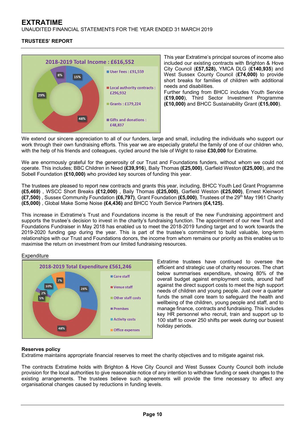UNAUDITED FINANCIAL STATEMENTS FOR THE YEAR ENDED 31 MARCH 2019

# **TRUSTEES' REPORT**



This year Extratime's principal sources of income also included our existing contracts with Brighton & Hove City Council (**£57,528),** YMCA DLG (**£140,935**) and West Sussex County Council (**£74,000)** to provide short breaks for families of children with additional needs and disabilities. Further funding from BHCC includes Youth Service (**£19,000**), Third Sector Investment Programme **(£10,000)** and BHCC Sustainability Grant (**£15,000**).

We extend our sincere appreciation to all of our funders, large and small, including the individuals who support our work through their own fundraising efforts. This year we are especially grateful the family of one of our children who, with the help of his friends and colleagues, cycled around the Isle of Wight to raise **£30,000** for Extratime.

We are enormously grateful for the generosity of our Trust and Foundations funders, without whom we could not operate. This includes; BBC Children in Need **(£39,916**), Baily Thomas **(£25,000)**, Garfield Weston **(£25,000**), and the Sobell Foundation **(£10,000)** who provided key sources of funding this year.

The trustees are pleased to report new contracts and grants this year, including, BHCC Youth Led Grant Programme **(£5,469)** , WSCC Short Breaks **(£12,000)** , Baily Thomas **(£25,000)**, Garfield Weston **(£25,000)**, Ernest Kleinwort **(£7,500)** , Sussex Community Foundation **(£6,797)**, Grant Foundation **(£5,000)**, Trustees of the 29th May 1961 Charity **(£5,000)** , Global Make Some Noise **(£4,436)** and BHCC Youth Service Partners **(£4,125).**

This increase in Extratime's Trust and Foundations income is the result of the new Fundraising appointment and supports the trustee's decision to invest in the charity's fundraising function. The appointment of our new Trust and Foundations Fundraiser in May 2018 has enabled us to meet the 2018-2019 funding target and to work towards the 2019-2020 funding gap during the year. This is part of the trustee's commitment to build valuable, long-term relationships with our Trust and Foundations donors, the income from whom remains our priority as this enables us to maximise the return on investment from our limited fundraising resources.

# **Expenditure**



Extratime trustees have continued to oversee the efficient and strategic use of charity resources. The chart below summarises expenditure, showing 80% of the overall budget against employment costs, around half against the direct support costs to meet the high support needs of children and young people. Just over a quarter funds the small core team to safeguard the health and wellbeing of the children, young people and staff, and to manage finance, contracts and fundraising. This includes key HR personnel who recruit, train and support up to 100 staff to cover 250 shifts per week during our busiest holiday periods.

# **Reserves policy**

Extratime maintains appropriate financial reserves to meet the charity objectives and to mitigate against risk.

The contracts Extratime holds with Brighton & Hove City Council and West Sussex County Council both include provision for the local authorities to give reasonable notice of any intention to withdraw funding or seek changes to the existing arrangements. The trustees believe such agreements will provide the time necessary to affect any organisational changes caused by reductions in funding levels.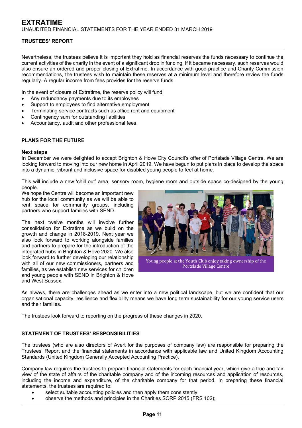Nevertheless, the trustees believe it is important they hold as financial reserves the funds necessary to continue the current activities of the charity in the event of a significant drop in funding. If it became necessary, such reserves would also ensure an ordered and proper closing of Extratime. In accordance with good practice and Charity Commission recommendations, the trustees wish to maintain these reserves at a minimum level and therefore review the funds regularly. A regular income from fees provides for the reserve funds.

In the event of closure of Extratime, the reserve policy will fund:

- Any redundancy payments due to its employees
- Support to employees to find alternative employment
- Terminating service contracts such as office rent and equipment
- Contingency sum for outstanding liabilities
- Accountancy, audit and other professional fees.

# **PLANS FOR THE FUTURE**

# **Next steps**

In December we were delighted to accept Brighton & Hove City Council's offer of Portslade Village Centre. We are looking forward to moving into our new home in April 2019. We have begun to put plans in place to develop the space into a dynamic, vibrant and inclusive space for disabled young people to feel at home.

This will include a new 'chill out' area, sensory room, hygiene room and outside space co-designed by the young people.

We hope the Centre will become an important new hub for the local community as we will be able to rent space for community groups, including partners who support families with SEND.

The next twelve months will involve further consolidation for Extratime as we build on the growth and change in 2018-2019. Next year we also look forward to working alongside families and partners to prepare for the introduction of the integrated hubs in Brighton & Hove 2020. We also look forward to further developing our relationship with all of our new commissioners, partners and families, as we establish new services for children and young people with SEND in Brighton & Hove and West Sussex.



Portslade Village Centre

As always, there are challenges ahead as we enter into a new political landscape, but we are confident that our organisational capacity, resilience and flexibility means we have long term sustainability for our young service users and their families.

The trustees look forward to reporting on the progress of these changes in 2020.

# **STATEMENT OF TRUSTEES' RESPONSIBILITIES**

The trustees (who are also directors of Avert for the purposes of company law) are responsible for preparing the Trustees' Report and the financial statements in accordance with applicable law and United Kingdom Accounting Standards (United Kingdom Generally Accepted Accounting Practice).

Company law requires the trustees to prepare financial statements for each financial year, which give a true and fair view of the state of affairs of the charitable company and of the incoming resources and application of resources, including the income and expenditure, of the charitable company for that period. In preparing these financial statements, the trustees are required to:

- select suitable accounting policies and then apply them consistently;
- observe the methods and principles in the Charities SORP 2015 (FRS 102);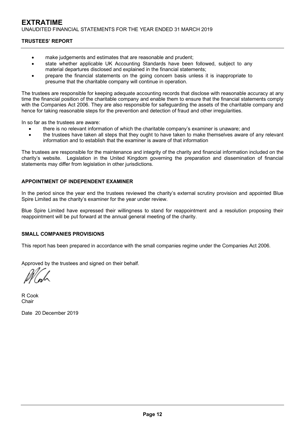# **TRUSTEES' REPORT**

- make judgements and estimates that are reasonable and prudent;
- state whether applicable UK Accounting Standards have been followed, subject to any material departures disclosed and explained in the financial statements;
- prepare the financial statements on the going concern basis unless it is inappropriate to presume that the charitable company will continue in operation.

The trustees are responsible for keeping adequate accounting records that disclose with reasonable accuracy at any time the financial position of the charitable company and enable them to ensure that the financial statements comply with the Companies Act 2006. They are also responsible for safeguarding the assets of the charitable company and hence for taking reasonable steps for the prevention and detection of fraud and other irregularities.

In so far as the trustees are aware:

- there is no relevant information of which the charitable company's examiner is unaware; and
- the trustees have taken all steps that they ought to have taken to make themselves aware of any relevant information and to establish that the examiner is aware of that information

The trustees are responsible for the maintenance and integrity of the charity and financial information included on the charity's website. Legislation in the United Kingdom governing the preparation and dissemination of financial statements may differ from legislation in other jurisdictions.

# **APPOINTMENT OF INDEPENDENT EXAMINER**

In the period since the year end the trustees reviewed the charity's external scrutiny provision and appointed Blue Spire Limited as the charity's examiner for the year under review.

Blue Spire Limited have expressed their willingness to stand for reappointment and a resolution proposing their reappointment will be put forward at the annual general meeting of the charity.

# **SMALL COMPANIES PROVISIONS**

This report has been prepared in accordance with the small companies regime under the Companies Act 2006.

Approved by the trustees and signed on their behalf.

R Cook Chair

Date 20 December 2019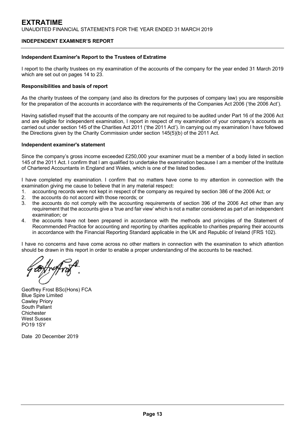# **INDEPENDENT EXAMINER'S REPORT**

# **Independent Examiner's Report to the Trustees of Extratime**

I report to the charity trustees on my examination of the accounts of the company for the year ended 31 March 2019 which are set out on pages 14 to 23.

# **Responsibilities and basis of report**

As the charity trustees of the company (and also its directors for the purposes of company law) you are responsible for the preparation of the accounts in accordance with the requirements of the Companies Act 2006 ('the 2006 Act').

Having satisfied myself that the accounts of the company are not required to be audited under Part 16 of the 2006 Act and are eligible for independent examination, I report in respect of my examination of your company's accounts as carried out under section 145 of the Charities Act 2011 ('the 2011 Act'). In carrying out my examination I have followed the Directions given by the Charity Commission under section 145(5)(b) of the 2011 Act.

# **Independent examiner's statement**

Since the company's gross income exceeded £250,000 your examiner must be a member of a body listed in section 145 of the 2011 Act. I confirm that I am qualified to undertake the examination because I am a member of the Institute of Chartered Accountants in England and Wales, which is one of the listed bodies.

I have completed my examination. I confirm that no matters have come to my attention in connection with the examination giving me cause to believe that in any material respect:

- 1. accounting records were not kept in respect of the company as required by section 386 of the 2006 Act; or
- 2. the accounts do not accord with those records; or
- 3. the accounts do not comply with the accounting requirements of section 396 of the 2006 Act other than any requirement that the accounts give a 'true and fair view' which is not a matter considered as part of an independent examination; or
- 4. the accounts have not been prepared in accordance with the methods and principles of the Statement of Recommended Practice for accounting and reporting by charities applicable to charities preparing their accounts in accordance with the Financial Reporting Standard applicable in the UK and Republic of Ireland (FRS 102).

I have no concerns and have come across no other matters in connection with the examination to which attention should be drawn in this report in order to enable a proper understanding of the accounts to be reached.

Geoffrey Frost BSc(Hons) FCA Blue Spire Limited Cawley Priory South Pallant **Chichester** West Sussex PO19 1SY

Date 20 December 2019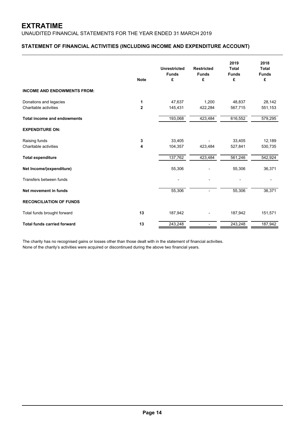# **STATEMENT OF FINANCIAL ACTIVITIES (INCLUDING INCOME AND EXPENDITURE ACCOUNT)**

|                                                 | <b>Note</b>         | <b>Unrestricted</b><br><b>Funds</b><br>£ | <b>Restricted</b><br><b>Funds</b><br>£ | 2019<br><b>Total</b><br><b>Funds</b><br>£ | 2018<br><b>Total</b><br><b>Funds</b><br>£ |
|-------------------------------------------------|---------------------|------------------------------------------|----------------------------------------|-------------------------------------------|-------------------------------------------|
| <b>INCOME AND ENDOWMENTS FROM:</b>              |                     |                                          |                                        |                                           |                                           |
| Donations and legacies<br>Charitable activities | 1<br>$\overline{2}$ | 47,637<br>145,431                        | 1,200<br>422,284                       | 48,837<br>567,715                         | 28,142<br>551,153                         |
| <b>Total income and endowments</b>              |                     | 193,068                                  | 423,484                                | 616,552                                   | 579,295                                   |
| <b>EXPENDITURE ON:</b>                          |                     |                                          |                                        |                                           |                                           |
| Raising funds<br>Charitable activities          | 3<br>4              | 33,405<br>104,357                        | 423,484                                | 33,405<br>527,841                         | 12,189<br>530,735                         |
| <b>Total expenditure</b>                        |                     | 137,762                                  | 423,484                                | 561,246                                   | 542,924                                   |
| Net Income/(expenditure)                        |                     | 55,306                                   |                                        | 55,306                                    | 36,371                                    |
| Transfers between funds                         |                     |                                          |                                        |                                           |                                           |
| Net movement in funds                           |                     | 55,306                                   |                                        | 55,306                                    | 36,371                                    |
| <b>RECONCILIATION OF FUNDS</b>                  |                     |                                          |                                        |                                           |                                           |
| Total funds brought forward                     | 13                  | 187,942                                  |                                        | 187,942                                   | 151,571                                   |
| <b>Total funds carried forward</b>              | 13                  | 243,248                                  |                                        | 243,248                                   | 187,942                                   |

The charity has no recognised gains or losses other than those dealt with in the statement of financial activities. None of the charity's activities were acquired or discontinued during the above two financial years.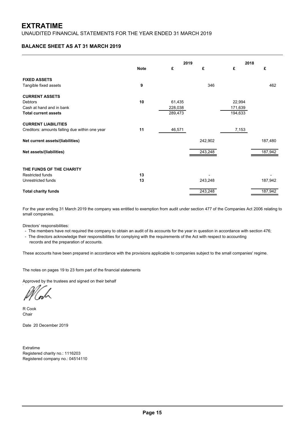# **BALANCE SHEET AS AT 31 MARCH 2019**

|                                                |             | 2019    |         | 2018    |         |
|------------------------------------------------|-------------|---------|---------|---------|---------|
|                                                | <b>Note</b> | £       | £       | £       | £       |
| <b>FIXED ASSETS</b>                            |             |         |         |         |         |
| Tangible fixed assets                          | 9           |         | 346     |         | 462     |
| <b>CURRENT ASSETS</b>                          |             |         |         |         |         |
| <b>Debtors</b>                                 | 10          | 61,435  |         | 22,994  |         |
| Cash at hand and in bank                       |             | 228,038 |         | 171,639 |         |
| <b>Total current assets</b>                    |             | 289,473 |         | 194,633 |         |
| <b>CURRENT LIABILITIES</b>                     |             |         |         |         |         |
| Creditors: amounts falling due within one year | 11          | 46,571  |         | 7,153   |         |
| Net current assets/(liabilities)               |             |         | 242,902 |         | 187,480 |
| Net assets/(liabilities)                       |             |         | 243,248 |         | 187,942 |
|                                                |             |         |         |         |         |
| THE FUNDS OF THE CHARITY                       |             |         |         |         |         |
| <b>Restricted funds</b>                        | 13          |         |         |         |         |
| Unrestricted funds                             | 13          |         | 243,248 |         | 187,942 |
| <b>Total charity funds</b>                     |             |         | 243,248 |         | 187,942 |

For the year ending 31 March 2019 the company was entitled to exemption from audit under section 477 of the Companies Act 2006 relating to small companies.

Directors' responsibilities:

- The members have not required the company to obtain an audit of its accounts for the year in question in accordance with section 476;

 records and the preparation of accounts. - The directors acknowledge their responsibilities for complying with the requirements of the Act with respect to accounting

These accounts have been prepared in accordance with the provisions applicable to companies subject to the small companies' regime.

The notes on pages 19 to 23 form part of the financial statements

Approved by the trustees and signed on their behalf

R Cook Chair

Date 20 December 2019

Extratime Registered charity no.: 1116203 Registered company no.: 04514110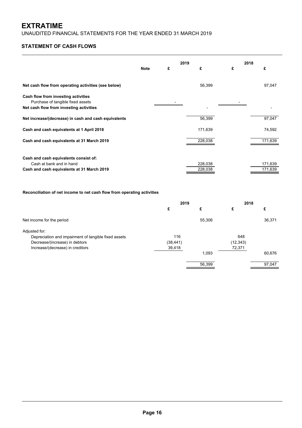UNAUDITED FINANCIAL STATEMENTS FOR THE YEAR ENDED 31 MARCH 2019

# **STATEMENT OF CASH FLOWS**

|                                                                                                                     | <b>Note</b> | £ | 2019<br>£ | 2018<br>£ | £       |
|---------------------------------------------------------------------------------------------------------------------|-------------|---|-----------|-----------|---------|
| Net cash flow from operating activities (see below)                                                                 |             |   | 56,399    |           | 97,047  |
| Cash flow from investing activities<br>Purchase of tangible fixed assets<br>Net cash flow from investing activities |             |   |           |           |         |
| Net increase/(decrease) in cash and cash equivalents                                                                |             |   | 56,399    |           | 97,047  |
| Cash and cash equivalents at 1 April 2018                                                                           |             |   | 171,639   |           | 74,592  |
| Cash and cash equivalents at 31 March 2019                                                                          |             |   | 228,038   |           | 171,639 |
| Cash and cash equivalents consist of:<br>Cash at bank and in hand                                                   |             |   | 228,038   |           | 171,639 |
| Cash and cash equivalents at 31 March 2019                                                                          |             |   | 228,038   |           | 171,639 |

# **Reconciliation of net income to net cash flow from operating activities**

|                                                      | 2019      |        | 2018      |        |
|------------------------------------------------------|-----------|--------|-----------|--------|
|                                                      | £         | £      |           | £      |
| Net income for the period                            |           | 55,306 |           | 36,371 |
| Adjusted for:                                        |           |        |           |        |
| Depreciation and impairment of tangible fixed assets | 116       |        | 648       |        |
| Decrease/(increase) in debtors                       | (38, 441) |        | (12, 343) |        |
| Increase/(decrease) in creditors                     | 39,418    |        | 72,371    |        |
|                                                      |           | 1,093  |           | 60,676 |
|                                                      |           | 56,399 |           | 97,047 |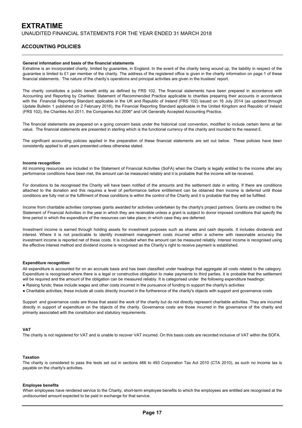# **ACCOUNTING POLICIES**

## **General information and basis of the financial statements**

Extratime is an incorporated charity, limited by guarantee, in England. In the event of the charity being wound up, the liability in respect of the guarantee is limited to £1 per member of the charity. The address of the registered office is given in the charity information on page 1 of these financial statements. The nature of the charity's operations and principal activities are given in the trustees' report.

The charity constitutes a public benefit entity as defined by FRS 102. The financial statements have been prepared in accordance with Accounting and Reporting by Charities: Statement of Recommended Practice applicable to charities preparing their accounts in accordance with the Financial Reporting Standard applicable in the UK and Republic of Ireland (FRS 102) issued on 16 July 2014 (as updated through Update Bulletin 1 published on 2 February 2016), the Financial Reporting Standard applicable in the United Kingdom and Republic of Ireland (FRS 102), the Charities Act 2011, the Companies Act 2006\* and UK Generally Accepted Accounting Practice.

The financial statements are prepared on a going concern basis under the historical cost convention, modified to include certain items at fair value. The financial statements are presented in sterling which is the functional currency of the charity and rounded to the nearest £.

The significant accounting policies applied in the preparation of these financial statements are set out below. These policies have been consistently applied to all years presented unless otherwise stated.

### **Income recognition**

All incoming resources are included in the Statement of Financial Activities (SoFA) when the Charity is legally entitled to the income after any performance conditions have been met, the amount can be measured reliably and it is probable that the income will be received.

For donations to be recognised the Charity will have been notified of the amounts and the settlement date in writing. If there are conditions attached to the donation and this requires a level of performance before entitlement can be obtained then income is deferred until those conditions are fully met or the fulfilment of those conditions is within the control of the Charity and it is probable that they will be fulfilled.

Income from charitable activities comprises grants awarded for activities undertaken by the charity's project partners. Grants are credited to the Statement of Financial Activities in the year in which they are receivable unless a grant is subject to donor imposed conditions that specify the time period in which the expenditure of the resources can take place; in which case they are deferred.

Investment income is earned through holding assets for investment purposes such as shares and cash deposits. It includes dividends and interest. Where it is not practicable to identify investment management costs incurred within a scheme with reasonable accuracy the investment income is reported net of these costs. It is included when the amount can be measured reliably. Interest income is recognised using the effective interest method and dividend income is recognised as the Charity's right to receive payment is established.

### **Expenditure recognition**

All expenditure is accounted for on an accruals basis and has been classified under headings that aggregate all costs related to the category. Expenditure is recognised where there is a legal or constructive obligation to make payments to third parties, it is probable that the settlement will be required and the amount of the obligation can be measured reliably. It is categorised under the following expenditure headings:

- Raising funds; these include wages and other costs incurred in the pursuance of funding to support the charity's activities
- Charitable activities; these include all costs directly incurred in the furtherence of the charity's objects with support and governance costs

Support and governance costs are those that assist the work of the charity but do not directly represent charitable activities. They are incurred directly in support of expenditure on the objects of the charity. Governance costs are those incurred in the governance of the charity and primarily associated with the constitution and statutory requirements.

### **VAT**

The charity is not registered for VAT and is unable to recover VAT incurred. On this basis costs are recorded inclusive of VAT within the SOFA.

### **Taxation**

The charity is considered to pass the tests set out in sections 466 to 493 Corporation Tax Act 2010 (CTA 2010), as such no income tax is payable on the charity's activities.

#### **Employee benefits**

When employees have rendered service to the Charity, short-term employee benefits to which the employees are entitled are recognised at the undiscounted amount expected to be paid in exchange for that service.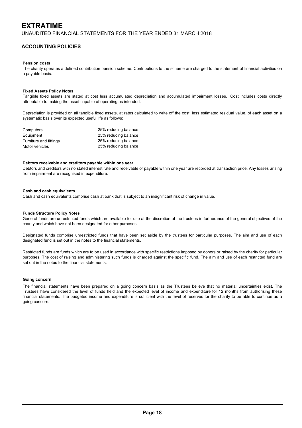# **ACCOUNTING POLICIES**

### **Pension costs**

The charity operates a defined contribution pension scheme. Contributions to the scheme are charged to the statement of financial activities on a payable basis.

### **Fixed Assets Policy Notes**

Tangible fixed assets are stated at cost less accumulated depreciation and accumulated impairment losses. Cost includes costs directly attributable to making the asset capable of operating as intended.

Depreciation is provided on all tangible fixed assets, at rates calculated to write off the cost, less estimated residual value, of each asset on a systematic basis over its expected useful life as follows:

| Computers              | 25% reducing balance |
|------------------------|----------------------|
| Equipment              | 25% reducing balance |
| Furniture and fittings | 25% reducing balance |
| Motor vehicles         | 25% reducing balance |

#### **Debtors receivable and creditors payable within one year**

Debtors and creditors with no stated interest rate and receivable or payable within one year are recorded at transaction price. Any losses arising from impairment are recognised in expenditure.

## **Cash and cash equivalents**

Cash and cash equivalents comprise cash at bank that is subject to an insignificant risk of change in value.

#### **Funds Structure Policy Notes**

General funds are unrestricted funds which are available for use at the discretion of the trustees in furtherance of the general objectives of the charity and which have not been designated for other purposes.

Designated funds comprise unrestricted funds that have been set aside by the trustees for particular purposes. The aim and use of each designated fund is set out in the notes to the financial statements.

Restricted funds are funds which are to be used in accordance with specific restrictions imposed by donors or raised by the charity for particular purposes. The cost of raising and administering such funds is charged against the specific fund. The aim and use of each restricted fund are set out in the notes to the financial statements.

#### **Going concern**

The financial statements have been prepared on a going concern basis as the Trustees believe that no material uncertainties exist. The Trustees have considered the level of funds held and the expected level of income and expenditure for 12 months from authorising these financial statements. The budgeted income and expenditure is sufficient with the level of reserves for the charity to be able to continue as a going concern.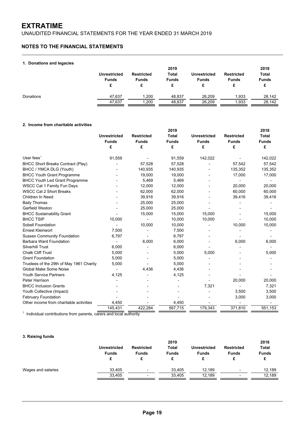UNAUDITED FINANCIAL STATEMENTS FOR THE YEAR ENDED 31 MARCH 2019

# **NOTES TO THE FINANCIAL STATEMENTS**

## **1. Donations and legacies**

| .         | <b>Unrestricted</b><br><b>Funds</b> | <b>Restricted</b><br><b>Funds</b> | 2019<br>Total<br><b>Funds</b><br>c | <b>Unrestricted</b><br><b>Funds</b> | <b>Restricted</b><br><b>Funds</b> | 2018<br><b>Total</b><br><b>Funds</b> |
|-----------|-------------------------------------|-----------------------------------|------------------------------------|-------------------------------------|-----------------------------------|--------------------------------------|
| Donations | 47.637                              | 1.200                             | 48,837                             | 26.209                              | 1,933                             | 28,142                               |
|           | 47.637                              | 1,200                             | 48,837                             | 26.209                              | 1,933                             | 28,142                               |

# **2. Income from charitable activities**

|                                          | 2019                |                   |              |                     | 2018              |              |              |              |              |
|------------------------------------------|---------------------|-------------------|--------------|---------------------|-------------------|--------------|--------------|--------------|--------------|
|                                          | <b>Unrestricted</b> | <b>Restricted</b> | <b>Total</b> | <b>Unrestricted</b> | <b>Restricted</b> | <b>Total</b> |              |              |              |
|                                          | <b>Funds</b>        |                   |              |                     | <b>Funds</b>      | <b>Funds</b> | <b>Funds</b> | <b>Funds</b> | <b>Funds</b> |
|                                          | £                   | £                 | £            | £                   | £                 | £            |              |              |              |
| User fees $1$                            | 91,559              |                   | 91,559       | 142,022             |                   | 142,022      |              |              |              |
| <b>BHCC Short Breaks Contract (Play)</b> |                     | 57,528            | 57,528       |                     | 57,542            | 57,542       |              |              |              |
| BHCC / YMCA DLG (Youth)                  |                     | 140,935           | 140,935      |                     | 135,352           | 135,352      |              |              |              |
| <b>BHCC Youth Grant Programme</b>        |                     | 19,000            | 19,000       |                     | 17,000            | 17,000       |              |              |              |
| <b>BHCC Youth Led Grant Programme</b>    |                     | 5,469             | 5,469        |                     |                   |              |              |              |              |
| <b>WSCC Cat 1 Family Fun Days</b>        |                     | 12.000            | 12,000       |                     | 20,000            | 20,000       |              |              |              |
| <b>WSCC Cat 2 Short Breaks</b>           |                     | 62,000            | 62,000       |                     | 60,000            | 60,000       |              |              |              |
| Children In Need                         |                     | 39,916            | 39,916       |                     | 39,416            | 39,416       |              |              |              |
| <b>Baily Thomas</b>                      |                     | 25,000            | 25,000       |                     |                   |              |              |              |              |
| Garfield Weston                          |                     | 25,000            | 25,000       |                     |                   |              |              |              |              |
| <b>BHCC Sustainability Grant</b>         |                     | 15,000            | 15,000       | 15,000              |                   | 15,000       |              |              |              |
| <b>BHCC TSIP</b>                         | 10,000              |                   | 10,000       | 10,000              |                   | 10,000       |              |              |              |
| Sobell Foundation                        |                     | 10,000            | 10,000       |                     | 10,000            | 10,000       |              |              |              |
| <b>Ernest Kleinwort</b>                  | 7,500               |                   | 7,500        |                     |                   |              |              |              |              |
| <b>Sussex Community Foundation</b>       | 6,797               |                   | 6,797        |                     |                   |              |              |              |              |
| <b>Barbara Ward Foundation</b>           |                     | 6,000             | 6,000        |                     | 6,000             | 6,000        |              |              |              |
| <b>Silverhill Trust</b>                  | 6,000               |                   | 6,000        |                     |                   |              |              |              |              |
| <b>Chalk Cliff Trust</b>                 | 5,000               |                   | 5,000        | 5,000               |                   | 5,000        |              |              |              |
| <b>Grant Foundation</b>                  | 5,000               |                   | 5,000        |                     |                   |              |              |              |              |
| Trustees of the 29th of May 1961 Charity | 5,000               |                   | 5,000        |                     |                   |              |              |              |              |
| Global Make Some Noise                   |                     | 4,436             | 4,436        |                     |                   |              |              |              |              |
| <b>Youth Service Partners</b>            | 4,125               |                   | 4,125        |                     |                   |              |              |              |              |
| <b>Peter Harrison</b>                    |                     |                   |              |                     | 20,000            | 20,000       |              |              |              |
| <b>BHCC Inclusion Grants</b>             |                     |                   |              | 7,321               |                   | 7,321        |              |              |              |
| Youth Collective (Impact)                |                     |                   |              |                     | 3,500             | 3,500        |              |              |              |
| <b>February Foundation</b>               |                     |                   |              |                     | 3,000             | 3,000        |              |              |              |
| Other income from charitable activities  | 4,450               |                   | 4,450        |                     |                   |              |              |              |              |
|                                          | 145,431             | 422.284           | 567,715      | 179,343             | 371,810           | 551,153      |              |              |              |

<sup>1</sup> Individual contributions from parents, carers and local authority

# **3. Raising funds**

|                    |                                     |                                        | 2019                  |                                     |                                   | 2018                         |
|--------------------|-------------------------------------|----------------------------------------|-----------------------|-------------------------------------|-----------------------------------|------------------------------|
|                    | <b>Unrestricted</b><br><b>Funds</b> | <b>Restricted</b><br><b>Funds</b><br>c | Total<br><b>Funds</b> | <b>Unrestricted</b><br><b>Funds</b> | <b>Restricted</b><br><b>Funds</b> | <b>Total</b><br><b>Funds</b> |
| Wages and salaries | 33.405                              | $\overline{\phantom{0}}$               | 33.405                | 12.189                              | $\overline{\phantom{0}}$          | 12.189                       |
|                    | 33.405                              | $\overline{\phantom{a}}$               | 33.405                | 12.189                              | $\overline{\phantom{0}}$          | 12,189                       |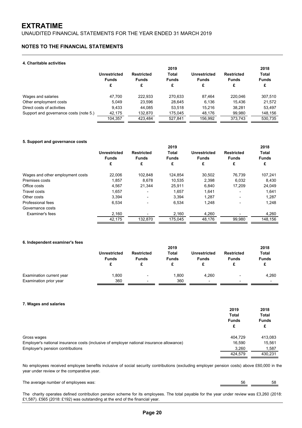UNAUDITED FINANCIAL STATEMENTS FOR THE YEAR ENDED 31 MARCH 2019

# **NOTES TO THE FINANCIAL STATEMENTS**

## **4. Charitable activities**

|                                        | Unrestricted<br><b>Funds</b><br>£ | <b>Restricted</b><br><b>Funds</b><br>£ | 2019<br>Total<br><b>Funds</b><br>£ | Unrestricted<br><b>Funds</b><br>£ | <b>Restricted</b><br><b>Funds</b><br>£ | 2018<br>Total<br><b>Funds</b><br>£ |
|----------------------------------------|-----------------------------------|----------------------------------------|------------------------------------|-----------------------------------|----------------------------------------|------------------------------------|
| Wages and salaries                     | 47.700                            | 222.933                                | 270.633                            | 87.464                            | 220.046                                | 307,510                            |
| Other employment costs                 | 5.049                             | 23.596                                 | 28.645                             | 6.136                             | 15.436                                 | 21,572                             |
| Direct costs of activities             | 9.433                             | 44.085                                 | 53.518                             | 15.216                            | 38.281                                 | 53,497                             |
| Support and governance costs (note 5.) | 42,175                            | 132,870                                | 175,045                            | 48,176                            | 99,980                                 | 148,156                            |
|                                        | 104.357                           | 423.484                                | 527.841                            | 156,992                           | 373,743                                | 530.735                            |

## **5. Support and governance costs**

|                                  | 2019                |                          |              |                     | 2018              |              |
|----------------------------------|---------------------|--------------------------|--------------|---------------------|-------------------|--------------|
|                                  | <b>Unrestricted</b> | <b>Restricted</b>        | <b>Total</b> | <b>Unrestricted</b> | <b>Restricted</b> | <b>Total</b> |
|                                  | <b>Funds</b>        | <b>Funds</b>             | <b>Funds</b> | <b>Funds</b>        | <b>Funds</b>      | <b>Funds</b> |
|                                  | £                   | £                        | £            | £                   | £                 | £            |
| Wages and other employment costs | 22.006              | 102.848                  | 124.854      | 30.502              | 76.739            | 107,241      |
| Premises costs                   | 1,857               | 8.678                    | 10.535       | 2,398               | 6,032             | 8,430        |
| Office costs                     | 4,567               | 21.344                   | 25,911       | 6,840               | 17,209            | 24,049       |
| Travel costs                     | 1,657               |                          | 1,657        | 1,641               |                   | 1,641        |
| Other costs                      | 3,394               |                          | 3,394        | 1,287               |                   | 1,287        |
| Professional fees                | 6,534               | $\overline{\phantom{a}}$ | 6,534        | 1,248               |                   | 1,248        |
| Governance costs                 |                     |                          |              |                     |                   |              |
| Examiner's fees                  | 2,160               |                          | 2,160        | 4,260               |                   | 4,260        |
|                                  | 42,175              | 132.870                  | 175,045      | 48,176              | 99,980            | 148,156      |

## **6. Independent examiner's fees**

|                          |                              | 2019                              |                       |                                     |                                   | 2018                         |  |
|--------------------------|------------------------------|-----------------------------------|-----------------------|-------------------------------------|-----------------------------------|------------------------------|--|
|                          | Unrestricted<br><b>Funds</b> | <b>Restricted</b><br><b>Funds</b> | Total<br><b>Funds</b> | <b>Unrestricted</b><br><b>Funds</b> | <b>Restricted</b><br><b>Funds</b> | <b>Total</b><br><b>Funds</b> |  |
| Examination current year | ,800                         | ٠                                 | .800                  | 4.260                               | $\overline{\phantom{a}}$          | 4,260                        |  |
| Examination prior year   | 360                          | $\overline{\phantom{a}}$          | 360                   | $\blacksquare$                      | $\overline{\phantom{0}}$          | $\overline{\phantom{0}}$     |  |

## **7. Wages and salaries**

|                                                                                          | 2019         | 2018         |
|------------------------------------------------------------------------------------------|--------------|--------------|
|                                                                                          | <b>Total</b> | <b>Total</b> |
|                                                                                          | <b>Funds</b> | <b>Funds</b> |
|                                                                                          | £            | £            |
| Gross wages                                                                              | 404.729      | 413,083      |
| Employer's national insurance costs (inclusive of employer national insurance allowance) | 16.590       | 15,561       |
| Employer's pension contributions                                                         | 3.260        | 1,587        |
|                                                                                          | 424.579      | 430.231      |

No employees received employee benefits inclusive of social security contributions (excluding employer pension costs) above £60,000 in the year under review or the comparative year.

The average number of employees was: 58 56

The charity operates defined contribution pension scheme for its employees. The total payable for the year under review was £3,260 (2018: £1,587). £565 (2018: £192) was outstanding at the end of the financial year.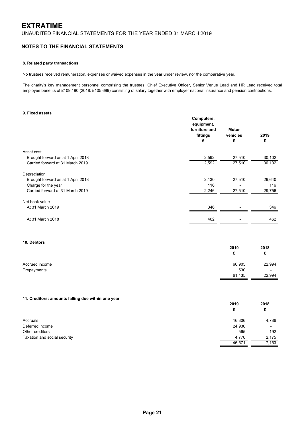# **NOTES TO THE FINANCIAL STATEMENTS**

## **8. Related party transactions**

No trustees received remuneration, expenses or waived expenses in the year under review, nor the comparative year.

The charity's key management personnel comprising the trustees, Chief Executive Officer, Senior Venue Lead and HR Lead received total employee benefits of £109,190 (2018: £105,699) consisting of salary together with employer national insurance and pension contributions.

## **9. Fixed assets**

|                                    | Computers,<br>equipment,<br>furniture and<br>fittings<br>£ | <b>Motor</b><br>vehicles<br>£ | 2019<br>£ |
|------------------------------------|------------------------------------------------------------|-------------------------------|-----------|
| Asset cost                         |                                                            |                               |           |
| Brought forward as at 1 April 2018 | 2,592                                                      | 27,510                        | 30,102    |
| Carried forward at 31 March 2019   | 2,592                                                      | 27,510                        | 30,102    |
| Depreciation                       |                                                            |                               |           |
| Brought forward as at 1 April 2018 | 2,130                                                      | 27,510                        | 29,640    |
| Charge for the year                | 116                                                        |                               | 116       |
| Carried forward at 31 March 2019   | 2,246                                                      | 27,510                        | 29,756    |
| Net book value                     |                                                            |                               |           |
| At 31 March 2019                   | 346                                                        |                               | 346       |
| At 31 March 2018                   | 462                                                        |                               | 462       |
|                                    |                                                            |                               |           |

# **10. Debtors**

|                | 2019   | 2018                     |
|----------------|--------|--------------------------|
|                | £      | c                        |
| Accrued income | 60,905 | 22,994                   |
| Prepayments    | 530    | $\overline{\phantom{a}}$ |
|                | 61,435 | 22,994                   |

## **11. Creditors: amounts falling due within one year**

|                              | 2019   | 2018                     |
|------------------------------|--------|--------------------------|
|                              | £      | £                        |
| Accruals                     | 16,306 | 4,786                    |
| Deferred income              | 24,930 | $\overline{\phantom{0}}$ |
| Other creditors              | 565    | 192                      |
| Taxation and social security | 4,770  | 2,175                    |
|                              | 46,571 | 7,153                    |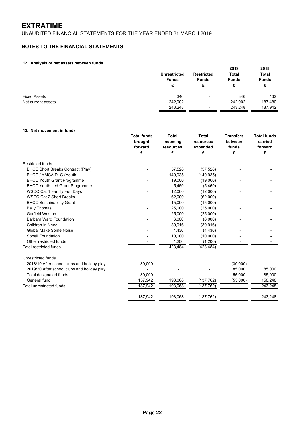# **NOTES TO THE FINANCIAL STATEMENTS**

## **12. Analysis of net assets between funds**

| -                   | <b>Unrestricted</b><br><b>Funds</b><br>£ | <b>Restricted</b><br><b>Funds</b><br>£ | 2019<br>Total<br><b>Funds</b><br>£ | 2018<br><b>Total</b><br><b>Funds</b><br>£ |
|---------------------|------------------------------------------|----------------------------------------|------------------------------------|-------------------------------------------|
| <b>Fixed Assets</b> | 346                                      | ٠                                      | 346                                | 462                                       |
| Net current assets  | 242,902                                  | $\overline{\phantom{a}}$               | 242,902                            | 187,480                                   |
|                     | 243,248                                  | ٠                                      | 243,248                            | 187,942                                   |

## **13. Net movement in funds**

|                                             | <b>Total funds</b><br>brought | <b>Total</b><br>incoming | <b>Total</b><br>resources | <b>Transfers</b><br>between | <b>Total funds</b><br>carried |
|---------------------------------------------|-------------------------------|--------------------------|---------------------------|-----------------------------|-------------------------------|
|                                             | forward                       | resources                | expended                  | funds                       | forward                       |
|                                             | £                             | £                        | £                         | £                           | £                             |
| <b>Restricted funds</b>                     |                               |                          |                           |                             |                               |
| <b>BHCC Short Breaks Contract (Play)</b>    |                               | 57,528                   | (57, 528)                 |                             |                               |
| BHCC / YMCA DLG (Youth)                     |                               | 140,935                  | (140, 935)                |                             |                               |
| <b>BHCC Youth Grant Programme</b>           |                               | 19,000                   | (19,000)                  |                             |                               |
| <b>BHCC Youth Led Grant Programme</b>       |                               | 5,469                    | (5,469)                   |                             |                               |
| <b>WSCC Cat 1 Family Fun Days</b>           |                               | 12,000                   | (12,000)                  |                             |                               |
| <b>WSCC Cat 2 Short Breaks</b>              |                               | 62,000                   | (62,000)                  |                             |                               |
| <b>BHCC Sustainability Grant</b>            |                               | 15,000                   | (15,000)                  |                             |                               |
| <b>Baily Thomas</b>                         |                               | 25,000                   | (25,000)                  |                             |                               |
| Garfield Weston                             |                               | 25,000                   | (25,000)                  |                             |                               |
| Barbara Ward Foundation                     |                               | 6,000                    | (6,000)                   |                             |                               |
| Children In Need                            |                               | 39,916                   | (39, 916)                 |                             |                               |
| Global Make Some Noise                      |                               | 4,436                    | (4, 436)                  |                             |                               |
| Sobell Foundation                           |                               | 10,000                   | (10,000)                  |                             |                               |
| Other restricted funds                      |                               | 1,200                    | (1,200)                   |                             |                               |
| <b>Total restricted funds</b>               |                               | 423,484                  | (423, 484)                |                             |                               |
| Unrestricted funds                          |                               |                          |                           |                             |                               |
| 2018/19 After school clubs and holiday play | 30,000                        |                          |                           | (30,000)                    |                               |
| 2019/20 After school clubs and holiday play |                               |                          |                           | 85,000                      | 85,000                        |
| Total designated funds                      | 30,000                        |                          |                           | 55,000                      | 85,000                        |
| General fund                                | 157,942                       | 193,068                  | (137, 762)                | (55,000)                    | 158,248                       |
| Total unrestricted funds                    | 187,942                       | 193,068                  | (137,762)                 | ٠                           | 243,248                       |
|                                             | 187,942                       | 193,068                  | (137, 762)                |                             | 243,248                       |